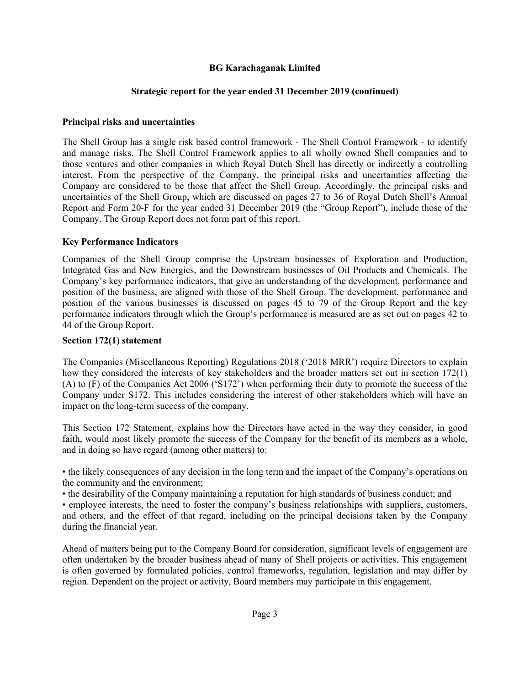## **BG Karachaganak Limited**

# **Strategic report for the year ended 31 December 2019 (continued)**

# **Principal risks and uncertainties**

The Shell Group has a single risk based control framework - The Shell Control Framework - to identify and manage risks. The Shell Control Framework applies to all wholly owned Shell companies and to those ventures and other companies in which Royal Dutch Shell has directly or indirectly a controlling interest. From the perspective of the Company, the principal risks and uncertainties affecting the Company are considered to be those that affect the Shell Group. Accordingly, the principal risks and uncertainties of the Shell Group, which are discussed on pages 27 to 36 of Royal Dutch Shell's Annual Report and Form 20-F for the year ended 31 December 2019 (the "Group Report"), include those of the Company. The Group Report does not form part of this report.

## **Key Performance Indicators**

Companies of the Shell Group comprise the Upstream businesses of Exploration and Production, Integrated Gas and New Energies, and the Downstream businesses of Oil Products and Chemicals. The Company's key performance indicators, that give an understanding of the development, performance and position of the business, are aligned with those of the Shell Group. The development, performance and position of the various businesses is discussed on pages 45 to 79 of the Group Report and the key performance indicators through which the Group's performance is measured are as set out on pages 42 to 44 of the Group Report.

# **Section 172(1) statement**

The Companies (Miscellaneous Reporting) Regulations 2018 ('2018 MRR') require Directors to explain how they considered the interests of key stakeholders and the broader matters set out in section 172(1) (A) to (F) of the Companies Act 2006 ('S172') when performing their duty to promote the success of the Company under S172. This includes considering the interest of other stakeholders which will have an impact on the long-term success of the company.

This Section 172 Statement, explains how the Directors have acted in the way they consider, in good faith, would most likely promote the success of the Company for the benefit of its members as a whole, and in doing so have regard (among other matters) to:

• the likely consequences of any decision in the long term and the impact of the Company's operations on the community and the environment;

• the desirability of the Company maintaining a reputation for high standards of business conduct; and

• employee interests, the need to foster the company's business relationships with suppliers, customers, and others, and the effect of that regard, including on the principal decisions taken by the Company during the financial year.

Ahead of matters being put to the Company Board for consideration, significant levels of engagement are often undertaken by the broader business ahead of many of Shell projects or activities. This engagement is often governed by formulated policies, control frameworks, regulation, legislation and may differ by region. Dependent on the project or activity, Board members may participate in this engagement.